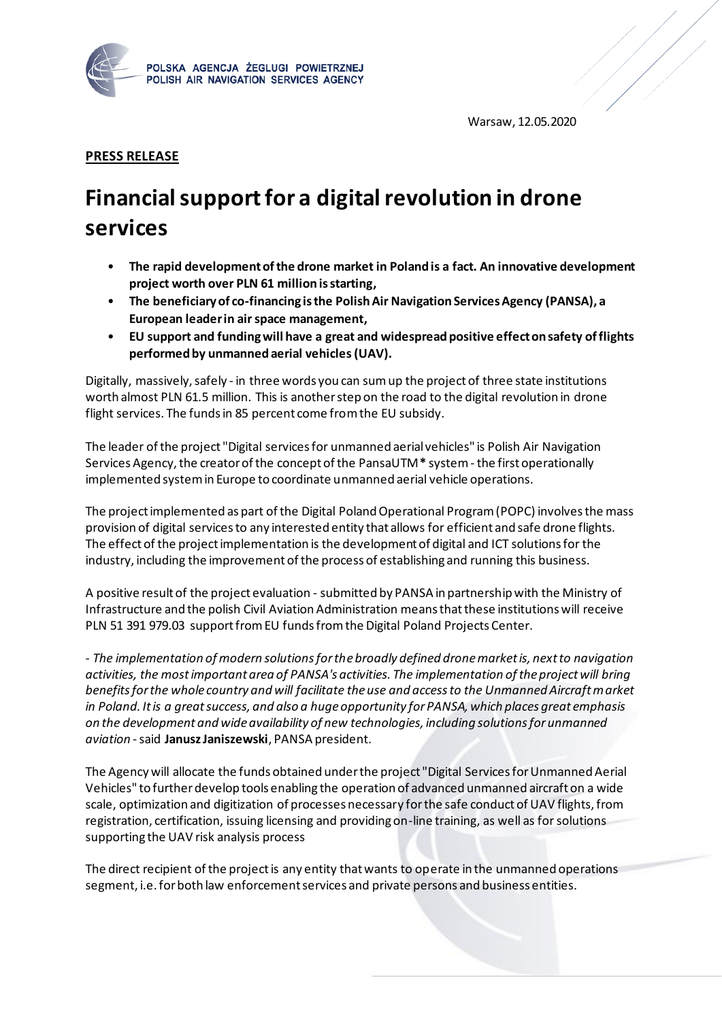

Warsaw, 12.05.2020

## **PRESS RELEASE**

## **Financialsupportfor a digital revolution in drone services**

- **The rapid development of the drone market in Poland is a fact. An innovative development project worth over PLN 61 million is starting,**
- **The beneficiary of co-financing is the Polish Air Navigation Services Agency (PANSA), a European leader in air space management,**
- **EU support and funding will have a great and widespread positive effect on safety of flights performed by unmanned aerial vehicles (UAV).**

Digitally, massively, safely - in three words you can sum up the project of three state institutions worth almost PLN 61.5 million. This is another step on the road to the digital revolution in drone flight services. The funds in 85 percent come from the EU subsidy.

The leader of the project "Digital services for unmanned aerial vehicles" is Polish Air Navigation Services Agency, the creator of the concept of the PansaUTM**\*** system -the first operationally implemented system in Europe to coordinate unmanned aerial vehicle operations.

The project implemented as part of the Digital Poland Operational Program (POPC) involves the mass provision of digital services to any interested entity that allows for efficient and safe drone flights. The effect of the project implementation is the development of digital and ICT solutions for the industry, including the improvement of the process of establishing and running this business.

A positive result of the project evaluation - submitted by PANSA in partnership with the Ministry of Infrastructure and the polish Civil Aviation Administration means that these institutions will receive PLN 51 391 979.03 support from EU funds from the Digital Poland Projects Center.

- *The implementation of modern solutions for the broadly defined drone market is, next to navigation activities, the most important area of PANSA's activities. The implementation of the project will bring benefits for the whole country and will facilitate the use and access to the Unmanned Aircraft market in Poland. It is a great success, and also a huge opportunity for PANSA, which places great emphasis on the development and wide availability of new technologies, including solutions for unmanned aviation* -said **Janusz Janiszewski**, PANSA president.

The Agency will allocate the funds obtained under the project "Digital Services for Unmanned Aerial Vehicles" to further develop tools enabling the operation of advanced unmanned aircraft on a wide scale, optimization and digitization of processes necessary for the safe conduct of UAV flights, from registration, certification, issuing licensing and providing on-line training, as well as for solutions supporting the UAV risk analysis process

The direct recipient of the project is any entity that wants to operate in the unmanned operations segment, i.e. for both law enforcement services and private persons and business entities.